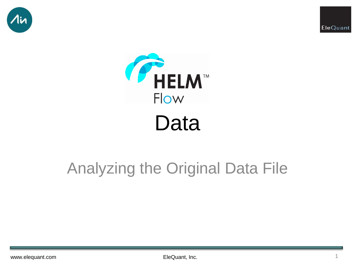





# Analyzing the Original Data File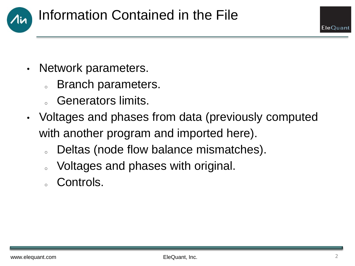

- Network parameters.
	- s Branch parameters.
	- Generators limits.
- Voltages and phases from data (previously computed with another program and imported here).
	- o Deltas (node flow balance mismatches).
	- o Voltages and phases with original.
	- Controls.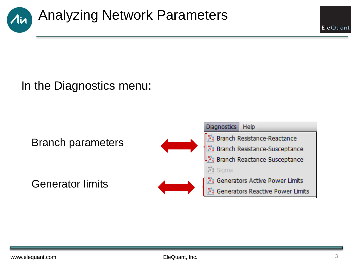

## In the Diagnostics menu:

Branch parameters

Generator limits



EleQuant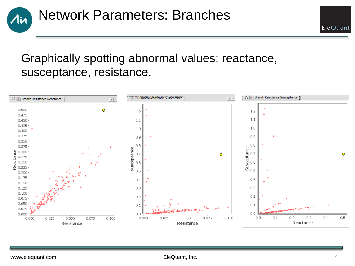

### Graphically spotting abnormal values: reactance, susceptance, resistance.



EleQuant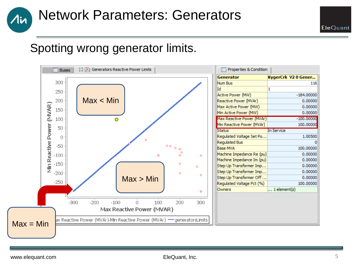## Network Parameters: Generators

## Spotting wrong generator limits.



1in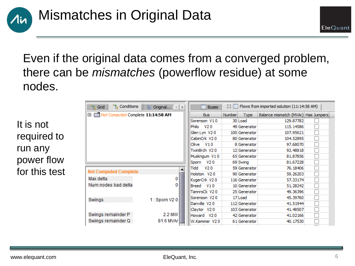

Even if the original data comes from a converged problem, there can be *mismatches* (powerflow residue) at some nodes.

It is not required to run any power flow for this test

| Conditions<br><sup>u</sup> l <sub>e</sub> Grid<br>te: Original | Flows from imported solution (11:14:58 AM)<br>x.<br>E<br><b>Buses</b> |        |               |                                     |  |
|----------------------------------------------------------------|-----------------------------------------------------------------------|--------|---------------|-------------------------------------|--|
| <b>EI-</b> Not Computed Complete 11:14:58 AM                   | <b>Bus</b>                                                            | Number | <b>Type</b>   | Balance mismatch (MVAr) Has Jumpers |  |
|                                                                | Sorenson V10                                                          |        | 30 Load       | 129,87782                           |  |
|                                                                | V <sub>20</sub><br>Philo                                              |        | 49 Generator  | 115, 14586                          |  |
|                                                                | Glen Lyn V20                                                          |        | 100 Generator | 107.95621                           |  |
|                                                                | CabinCrk V20                                                          |        | 80 Generator  | 104.52895                           |  |
|                                                                | V10<br>Olive                                                          |        | 8 Generator   | 97.68070                            |  |
|                                                                | TwinBrch V20                                                          |        | 12 Generator  | 92,48818                            |  |
|                                                                | Muskngum V10                                                          |        | 65 Generator  | 81.87856                            |  |
|                                                                | V20<br>Sporn                                                          |        | 69 Swing      | 81.67228                            |  |
|                                                                | Tidd<br>V20                                                           |        | 59 Generator  | 76.18406                            |  |
| <b>Not Computed Complete</b>                                   | Holston V20                                                           |        | 90 Generator  | 59.26203                            |  |
| Max delta                                                      | KygerCrk V20                                                          |        | 116 Generator | 57.33174                            |  |
| Num nodes bad delta                                            | V10<br>Breed                                                          |        | 10 Generator  | 51.28242                            |  |
|                                                                | TannrsCk V20                                                          |        | 25 Generator  | 49.36396                            |  |
| 1: Sporn V20<br>Swings                                         | Sorenson V20                                                          |        | 17 Load       | 45.39760                            |  |
|                                                                | Danville V20                                                          |        | 112 Generator | 41.51944                            |  |
|                                                                | Claytor V20                                                           |        | 103 Generator | 41.48507                            |  |
| 2.2 MW<br>Swings remainder P                                   | V <sub>20</sub><br>Howard                                             |        | 42 Generator  | 41.02166                            |  |
| 81.6 MVAr    図 <br>Swings remainder Q                          | W.Kammer V20                                                          |        | 61 Generator  | 40.17530                            |  |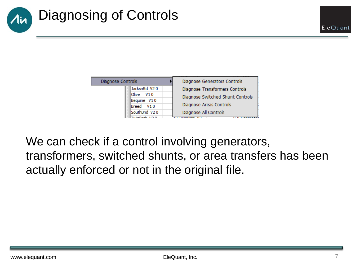



We can check if a control involving generators, transformers, switched shunts, or area transfers has been actually enforced or not in the original file.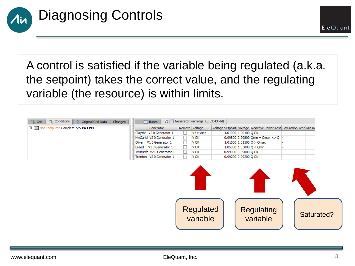

A control is satisfied if the variable being regulated (a.k.a. the setpoint) takes the correct value, and the regulating variable (the resource) is within limits.



EleQuant